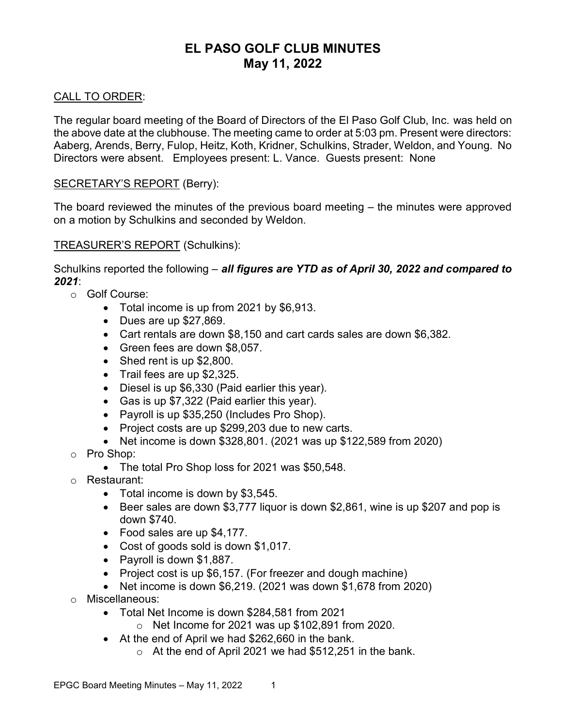## EL PASO GOLF CLUB MINUTES May 11, 2022

#### CALL TO ORDER:

The regular board meeting of the Board of Directors of the El Paso Golf Club, Inc. was held on the above date at the clubhouse. The meeting came to order at 5:03 pm. Present were directors: Aaberg, Arends, Berry, Fulop, Heitz, Koth, Kridner, Schulkins, Strader, Weldon, and Young. No Directors were absent. Employees present: L. Vance. Guests present: None

#### SECRETARY'S REPORT (Berry):

The board reviewed the minutes of the previous board meeting – the minutes were approved on a motion by Schulkins and seconded by Weldon.

#### TREASURER'S REPORT (Schulkins):

Schulkins reported the following – all figures are YTD as of April 30, 2022 and compared to 2021:

- o Golf Course:
	- Total income is up from 2021 by \$6,913.
	- $\bullet$  Dues are up \$27,869.
	- Cart rentals are down \$8,150 and cart cards sales are down \$6,382.
	- Green fees are down \$8,057.
	- Shed rent is up \$2,800.
	- Trail fees are up \$2,325.
	- Diesel is up \$6,330 (Paid earlier this year).
	- Gas is up \$7,322 (Paid earlier this year).
	- Payroll is up \$35,250 (Includes Pro Shop).
	- Project costs are up \$299,203 due to new carts.
	- Net income is down \$328,801. (2021 was up \$122,589 from 2020)
- o Pro Shop:
	- The total Pro Shop loss for 2021 was \$50,548.
- o Restaurant:
	- Total income is down by \$3,545.
	- Beer sales are down \$3,777 liquor is down \$2,861, wine is up \$207 and pop is down \$740.
	- Food sales are up \$4,177.
	- Cost of goods sold is down \$1,017.
	- Payroll is down \$1,887.
	- Project cost is up \$6,157. (For freezer and dough machine)
	- Net income is down \$6,219. (2021 was down \$1,678 from 2020)
- o Miscellaneous:
	- Total Net Income is down \$284,581 from 2021
		- $\circ$  Net Income for 2021 was up \$102,891 from 2020.
	- At the end of April we had \$262,660 in the bank.
		- $\circ$  At the end of April 2021 we had \$512,251 in the bank.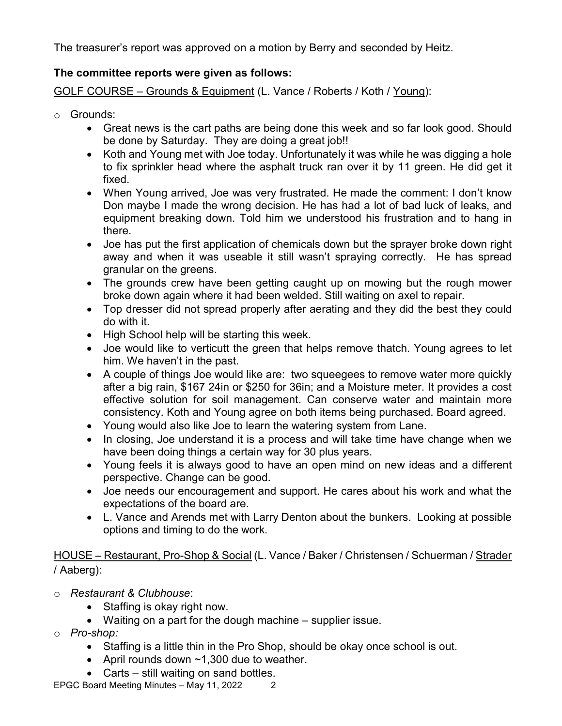The treasurer's report was approved on a motion by Berry and seconded by Heitz.

### The committee reports were given as follows:

GOLF COURSE – Grounds & Equipment (L. Vance / Roberts / Koth / Young):

- o Grounds:
	- Great news is the cart paths are being done this week and so far look good. Should be done by Saturday. They are doing a great job!!
	- Koth and Young met with Joe today. Unfortunately it was while he was digging a hole to fix sprinkler head where the asphalt truck ran over it by 11 green. He did get it fixed.
	- When Young arrived, Joe was very frustrated. He made the comment: I don't know Don maybe I made the wrong decision. He has had a lot of bad luck of leaks, and equipment breaking down. Told him we understood his frustration and to hang in there.
	- Joe has put the first application of chemicals down but the sprayer broke down right away and when it was useable it still wasn't spraying correctly. He has spread granular on the greens.
	- The grounds crew have been getting caught up on mowing but the rough mower broke down again where it had been welded. Still waiting on axel to repair.
	- Top dresser did not spread properly after aerating and they did the best they could do with it.
	- High School help will be starting this week.
	- Joe would like to verticutt the green that helps remove thatch. Young agrees to let him. We haven't in the past.
	- A couple of things Joe would like are: two squeegees to remove water more quickly after a big rain, \$167 24in or \$250 for 36in; and a Moisture meter. It provides a cost effective solution for soil management. Can conserve water and maintain more consistency. Koth and Young agree on both items being purchased. Board agreed.
	- Young would also like Joe to learn the watering system from Lane.
	- In closing, Joe understand it is a process and will take time have change when we have been doing things a certain way for 30 plus years.
	- Young feels it is always good to have an open mind on new ideas and a different perspective. Change can be good.
	- Joe needs our encouragement and support. He cares about his work and what the expectations of the board are.
	- L. Vance and Arends met with Larry Denton about the bunkers. Looking at possible options and timing to do the work.

HOUSE – Restaurant, Pro-Shop & Social (L. Vance / Baker / Christensen / Schuerman / Strader / Aaberg):

- o Restaurant & Clubhouse:
	- Staffing is okay right now.
	- Waiting on a part for the dough machine supplier issue.
- o Pro-shop:
	- Staffing is a little thin in the Pro Shop, should be okay once school is out.
	- April rounds down  $~1,300$  due to weather.
	- Carts still waiting on sand bottles.

EPGC Board Meeting Minutes - May 11, 2022 2